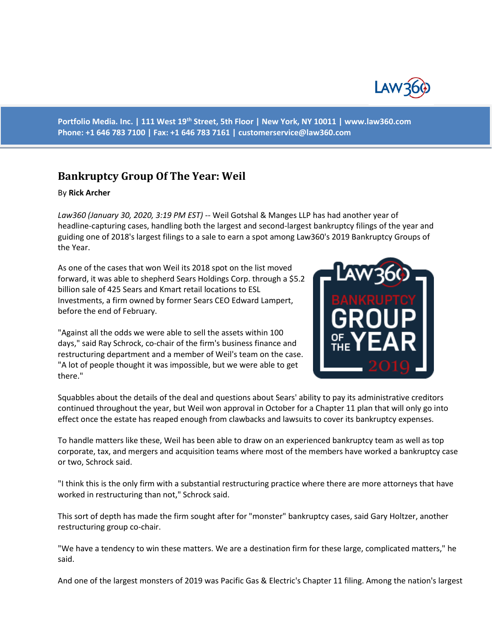

**Portfolio Media. Inc. | 111 West 19th Street, 5th Floor | New York, NY 10011 | www.law360.com Phone: +1 646 783 7100 | Fax: +1 646 783 7161 | [customerservice@law360.com](mailto:customerservice@law360.com)**

## **Bankruptcy Group Of The Year: Weil**

## By **Rick Archer**

*Law360 (January 30, 2020, 3:19 PM EST)* -- Weil Gotshal & Manges LLP has had another year of headline-capturing cases, handling both the largest and second-largest bankruptcy filings of the year and guiding one of 2018's largest filings to a sale to earn a spot among Law360's 2019 Bankruptcy Groups of the Year.

As one of the cases that won Weil its 2018 spot on the list moved forward, it was able to shepherd Sears Holdings Corp. through a \$5.2 billion sale of 425 Sears and Kmart retail locations to ESL Investments, a firm owned by former Sears CEO Edward Lampert, before the end of February.

"Against all the odds we were able to sell the assets within 100 days," said Ray Schrock, co-chair of the firm's business finance and restructuring department and a member of Weil's team on the case. "A lot of people thought it was impossible, but we were able to get there."



Squabbles about the details of the deal and questions about Sears' ability to pay its administrative creditors continued throughout the year, but Weil won approval in October for a Chapter 11 plan that will only go into effect once the estate has reaped enough from clawbacks and lawsuits to cover its bankruptcy expenses.

To handle matters like these, Weil has been able to draw on an experienced bankruptcy team as well as top corporate, tax, and mergers and acquisition teams where most of the members have worked a bankruptcy case or two, Schrock said.

"I think this is the only firm with a substantial restructuring practice where there are more attorneys that have worked in restructuring than not," Schrock said.

This sort of depth has made the firm sought after for "monster" bankruptcy cases, said Gary Holtzer, another restructuring group co-chair.

"We have a tendency to win these matters. We are a destination firm for these large, complicated matters," he said.

And one of the largest monsters of 2019 was Pacific Gas & Electric's Chapter 11 filing. Among the nation's largest